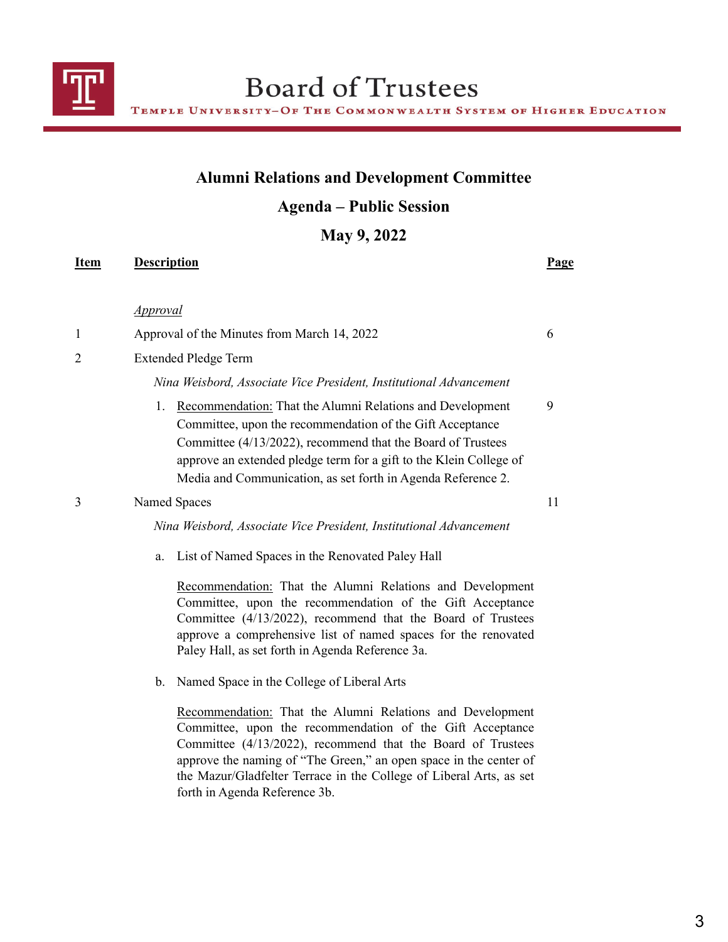

## **Alumni Relations and Development Committee**

## **Agenda – Public Session**

**May 9, 2022**

| Item           | <b>Description</b>                                                                                                                                                                                                                                                                                                                | <b>Page</b> |
|----------------|-----------------------------------------------------------------------------------------------------------------------------------------------------------------------------------------------------------------------------------------------------------------------------------------------------------------------------------|-------------|
|                | <i><u>Approval</u></i>                                                                                                                                                                                                                                                                                                            |             |
| 1              | Approval of the Minutes from March 14, 2022                                                                                                                                                                                                                                                                                       | 6           |
| $\overline{c}$ | <b>Extended Pledge Term</b>                                                                                                                                                                                                                                                                                                       |             |
|                | Nina Weisbord, Associate Vice President, Institutional Advancement                                                                                                                                                                                                                                                                |             |
|                | Recommendation: That the Alumni Relations and Development<br>1.<br>Committee, upon the recommendation of the Gift Acceptance<br>Committee (4/13/2022), recommend that the Board of Trustees<br>approve an extended pledge term for a gift to the Klein College of<br>Media and Communication, as set forth in Agenda Reference 2. | 9           |
| 3              | Named Spaces                                                                                                                                                                                                                                                                                                                      | 11          |
|                | Nina Weisbord, Associate Vice President, Institutional Advancement                                                                                                                                                                                                                                                                |             |
|                | List of Named Spaces in the Renovated Paley Hall<br>a.                                                                                                                                                                                                                                                                            |             |
|                | Recommendation: That the Alumni Relations and Development<br>Committee, upon the recommendation of the Gift Acceptance<br>Committee (4/13/2022), recommend that the Board of Trustees<br>approve a comprehensive list of named spaces for the renovated<br>Paley Hall, as set forth in Agenda Reference 3a.                       |             |
|                | Named Space in the College of Liberal Arts<br>b.                                                                                                                                                                                                                                                                                  |             |
|                | Recommendation: That the Alumni Relations and Development<br>Committee, upon the recommendation of the Gift Acceptance<br>Committee (4/13/2022), recommend that the Board of Trustees<br>approve the naming of "The Green," an open space in the center of                                                                        |             |

the Mazur/Gladfelter Terrace in the College of Liberal Arts, as set

forth in Agenda Reference 3b.